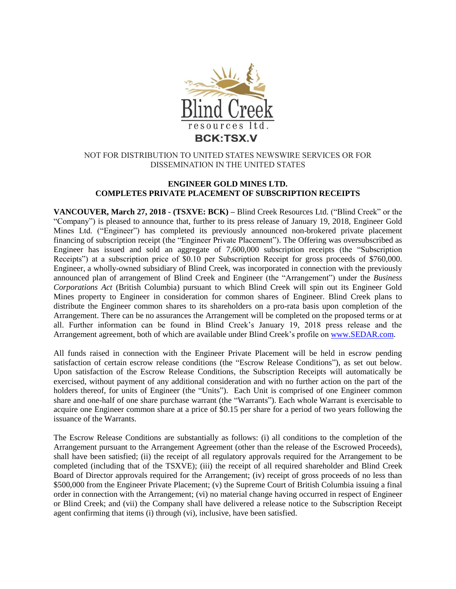

## NOT FOR DISTRIBUTION TO UNITED STATES NEWSWIRE SERVICES OR FOR DISSEMINATION IN THE UNITED STATES

### **ENGINEER GOLD MINES LTD. COMPLETES PRIVATE PLACEMENT OF SUBSCRIPTION RECEIPTS**

**VANCOUVER, March 27, 2018 - (TSXVE: BCK) –** Blind Creek Resources Ltd. ("Blind Creek" or the "Company") is pleased to announce that, further to its press release of January 19, 2018, Engineer Gold Mines Ltd. ("Engineer") has completed its previously announced non-brokered private placement financing of subscription receipt (the "Engineer Private Placement"). The Offering was oversubscribed as Engineer has issued and sold an aggregate of 7,600,000 subscription receipts (the "Subscription Receipts") at a subscription price of \$0.10 per Subscription Receipt for gross proceeds of \$760,000. Engineer, a wholly-owned subsidiary of Blind Creek, was incorporated in connection with the previously announced plan of arrangement of Blind Creek and Engineer (the "Arrangement") under the *Business Corporations Act* (British Columbia) pursuant to which Blind Creek will spin out its Engineer Gold Mines property to Engineer in consideration for common shares of Engineer. Blind Creek plans to distribute the Engineer common shares to its shareholders on a pro-rata basis upon completion of the Arrangement. There can be no assurances the Arrangement will be completed on the proposed terms or at all. Further information can be found in Blind Creek's January 19, 2018 press release and the Arrangement agreement, both of which are available under Blind Creek's profile on [www.SEDAR.com.](http://www.sedar.com/)

All funds raised in connection with the Engineer Private Placement will be held in escrow pending satisfaction of certain escrow release conditions (the "Escrow Release Conditions"), as set out below. Upon satisfaction of the Escrow Release Conditions, the Subscription Receipts will automatically be exercised, without payment of any additional consideration and with no further action on the part of the holders thereof, for units of Engineer (the "Units"). Each Unit is comprised of one Engineer common share and one-half of one share purchase warrant (the "Warrants"). Each whole Warrant is exercisable to acquire one Engineer common share at a price of \$0.15 per share for a period of two years following the issuance of the Warrants.

The Escrow Release Conditions are substantially as follows: (i) all conditions to the completion of the Arrangement pursuant to the Arrangement Agreement (other than the release of the Escrowed Proceeds), shall have been satisfied; (ii) the receipt of all regulatory approvals required for the Arrangement to be completed (including that of the TSXVE); (iii) the receipt of all required shareholder and Blind Creek Board of Director approvals required for the Arrangement; (iv) receipt of gross proceeds of no less than \$500,000 from the Engineer Private Placement; (v) the Supreme Court of British Columbia issuing a final order in connection with the Arrangement; (vi) no material change having occurred in respect of Engineer or Blind Creek; and (vii) the Company shall have delivered a release notice to the Subscription Receipt agent confirming that items (i) through (vi), inclusive, have been satisfied.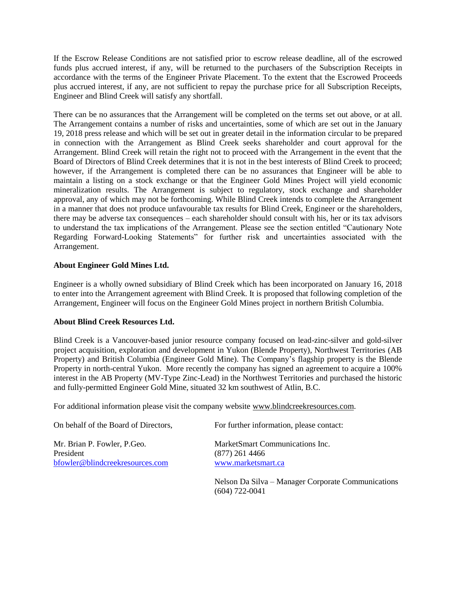If the Escrow Release Conditions are not satisfied prior to escrow release deadline, all of the escrowed funds plus accrued interest, if any, will be returned to the purchasers of the Subscription Receipts in accordance with the terms of the Engineer Private Placement. To the extent that the Escrowed Proceeds plus accrued interest, if any, are not sufficient to repay the purchase price for all Subscription Receipts, Engineer and Blind Creek will satisfy any shortfall.

There can be no assurances that the Arrangement will be completed on the terms set out above, or at all. The Arrangement contains a number of risks and uncertainties, some of which are set out in the January 19, 2018 press release and which will be set out in greater detail in the information circular to be prepared in connection with the Arrangement as Blind Creek seeks shareholder and court approval for the Arrangement. Blind Creek will retain the right not to proceed with the Arrangement in the event that the Board of Directors of Blind Creek determines that it is not in the best interests of Blind Creek to proceed; however, if the Arrangement is completed there can be no assurances that Engineer will be able to maintain a listing on a stock exchange or that the Engineer Gold Mines Project will yield economic mineralization results. The Arrangement is subject to regulatory, stock exchange and shareholder approval, any of which may not be forthcoming. While Blind Creek intends to complete the Arrangement in a manner that does not produce unfavourable tax results for Blind Creek, Engineer or the shareholders, there may be adverse tax consequences – each shareholder should consult with his, her or its tax advisors to understand the tax implications of the Arrangement. Please see the section entitled "Cautionary Note Regarding Forward-Looking Statements" for further risk and uncertainties associated with the Arrangement.

### **About Engineer Gold Mines Ltd.**

Engineer is a wholly owned subsidiary of Blind Creek which has been incorporated on January 16, 2018 to enter into the Arrangement agreement with Blind Creek. It is proposed that following completion of the Arrangement, Engineer will focus on the Engineer Gold Mines project in northern British Columbia.

### **About Blind Creek Resources Ltd.**

Blind Creek is a Vancouver-based junior resource company focused on lead-zinc-silver and gold-silver project acquisition, exploration and development in Yukon (Blende Property), Northwest Territories (AB Property) and British Columbia (Engineer Gold Mine). The Company's flagship property is the Blende Property in north-central Yukon. More recently the company has signed an agreement to acquire a 100% interest in the AB Property (MV-Type Zinc-Lead) in the Northwest Territories and purchased the historic and fully-permitted Engineer Gold Mine, situated 32 km southwest of Atlin, B.C.

For additional information please visit the company website [www.blindcreekresources.com.](http://www.blindcreekresources.com/)

| On behalf of the Board of Directors,                                        | For further information, please contact:                                  |
|-----------------------------------------------------------------------------|---------------------------------------------------------------------------|
| Mr. Brian P. Fowler, P.Geo.<br>President<br>bfowler@blindcreekresources.com | MarketSmart Communications Inc.<br>$(877)$ 261 4466<br>www.marketsmart.ca |
|                                                                             | Nelson Da Silva – Manager Corporate Communica                             |

Nelson Da Silva – Manager Corporate Communications (604) 722-0041